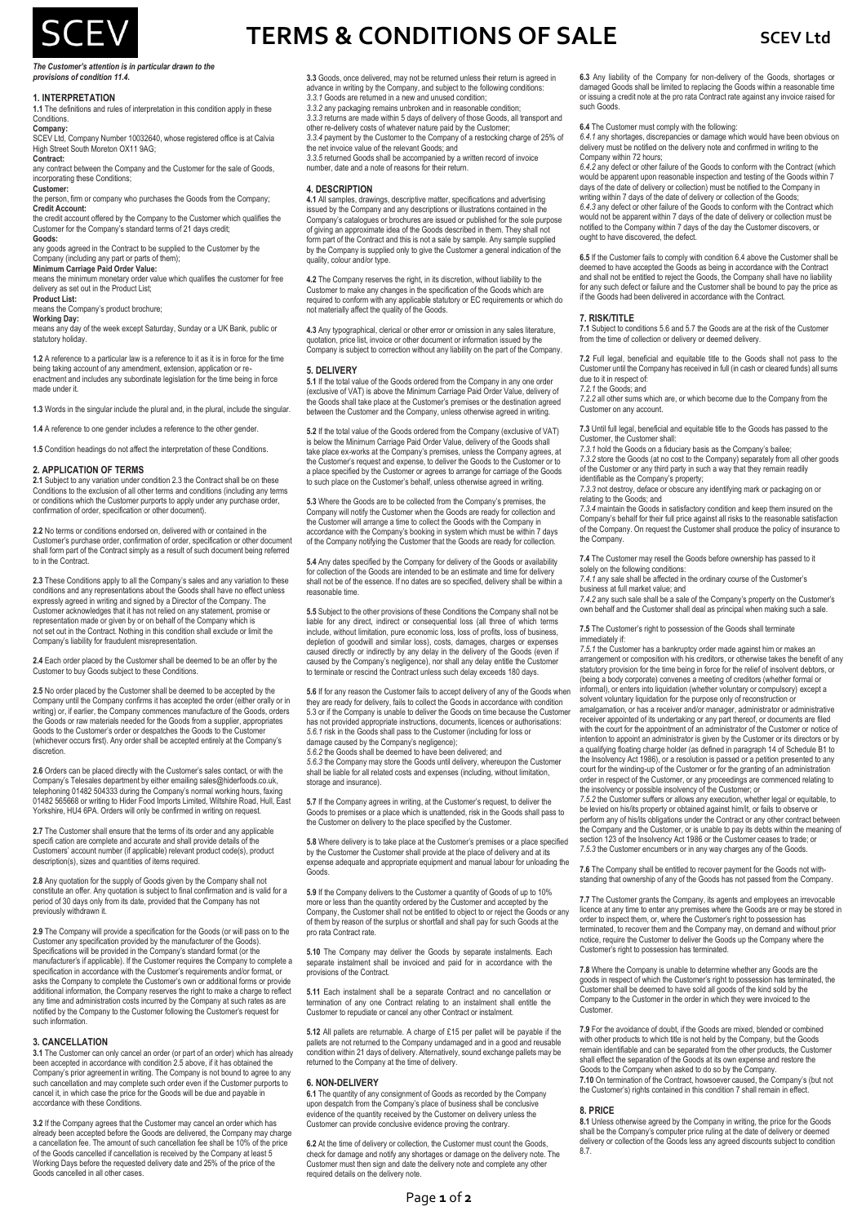

#### *The Customer's attention is in particular drawn to the provisions of condition 11.4.*

## **1. INTERPRETATION**

# **1.1** The definitions and rules of interpretation in this condition apply in these

**Conditions** 

**Company:** SCEV Ltd, Company Number 10032640, whose registered office is at Calvia High Street South Moreton OX11 9AG

## **Contract:**

any contract between the Company and the Customer for the sale of Goods, incorporating these Conditions;

**Customer:** the person, firm or company who purchases the Goods from the Company; **Credit Account:**

the credit account offered by the Company to the Customer which qualifies the Customer for the Company's standard terms of 21 days credit;

**Goods:** any goods agreed in the Contract to be supplied to the Customer by the

Company (including any part or parts of them);

**Minimum Carriage Paid Order Value:** means the minimum monetary order value which qualifies the customer for free

delivery as set out in the Product List; **Product List:**

means the Company's product brochure

**Working Day:**

means any day of the week except Saturday, Sunday or a UK Bank, public or statutory holiday.

**1.2** A reference to a particular law is a reference to it as it is in force for the time being taking account of any amendment, extension, application or reenactment and includes any subordinate legislation for the time being in force made under it.

**1.3** Words in the singular include the plural and, in the plural, include the singular.

**1.4** A reference to one gender includes a reference to the other gender.

**1.5** Condition headings do not affect the interpretation of these Conditions.

## **2. APPLICATION OF TERMS**

**2.1** Subject to any variation under condition 2.3 the Contract shall be on these Conditions to the exclusion of all other terms and conditions (including any terms or conditions which the Customer purports to apply under any purchase order, confirmation of order, specification or other document).

**2.2** No terms or conditions endorsed on, delivered with or contained in the Customer's purchase order, confirmation of order, specification or other document shall form part of the Contract simply as a result of such document being referred to in the Contract.

**2.3** These Conditions apply to all the Company's sales and any variation to these conditions and any representations about the Goods shall have no effect unless expressly agreed in writing and signed by a Director of the Company. The Customer acknowledges that it has not relied on any statement, promise or representation made or given by or on behalf of the Company which is not set out in the Contract. Nothing in this condition shall exclude or limit the Company's liability for fraudulent misrepresentation.

**2.4** Each order placed by the Customer shall be deemed to be an offer by the Customer to buy Goods subject to these Conditions.

**2.5** No order placed by the Customer shall be deemed to be accepted by the Company until the Company confirms it has accepted the order (either orally or in writing) or, if earlier, the Company commences manufacture of the Goods, orders the Goods or raw materials needed for the Goods from a supplier, appropriates Goods to the Customer's order or despatches the Goods to the Customer (whichever occurs first). Any order shall be accepted entirely at the Company's discretion.

**2.6** Orders can be placed directly with the Customer's sales contact, or with the Company's Telesales department by either emailing sales@hiderfoods.co.uk, telephoning 01482 504333 during the Company's normal working hours, faxing 01482 565668 or writing to Hider Food Imports Limited, Wiltshire Road, Hull, East Yorkshire, HU4 6PA. Orders will only be confirmed in writing on request.

**2.7** The Customer shall ensure that the terms of its order and any applicable specifi cation are complete and accurate and shall provide details of the Customers' account number (if applicable) relevant product code(s), product description(s), sizes and quantities of items required.

**2.8** Any quotation for the supply of Goods given by the Company shall not constitute an offer. Any quotation is subject to final confirmation and is valid for a period of 30 days only from its date, provided that the Company has not previously withdrawn it.

**2.9** The Company will provide a specification for the Goods (or will pass on to the Customer any specification provided by the manufacturer of the Goods). Specifications will be provided in the Company's standard format (or the manufacturer's if applicable). If the Customer requires the Company to complete a specification in accordance with the Customer's requirements and/or format, or asks the Company to complete the Customer's own or additional forms or provide additional information, the Company reserves the right to make a charge to reflect any time and administration costs incurred by the Company at such rates as are notified by the Company to the Customer following the Customer's request for such information.

## **3. CANCELLATION**

**3.1** The Customer can only cancel an order (or part of an order) which has already been accepted in accordance with condition 2.5 above, if it has obtained the Company's prior agreement in writing. The Company is not bound to agree to any such cancellation and may complete such order even if the Customer purports to cancel it, in which case the price for the Goods will be due and payable in accordance with these Conditions.

**3.2** If the Company agrees that the Customer may cancel an order which has already been accepted before the Goods are delivered, the Company may charge a cancellation fee. The amount of such cancellation fee shall be 10% of the price of the Goods cancelled if cancellation is received by the Company at least 5 Working Days before the requested delivery date and 25% of the price of the Goods cancelled in all other cases.

# **TERMS & CONDITIONS OF SALE** SCEV Ltd

**3.3** Goods, once delivered, may not be returned unless their return is agreed in advance in writing by the Company, and subject to the following conditions: *3.3.1* Goods are returned in a new and unused condition;

*3.3.2* any packaging remains unbroken and in reasonable condition; *3.3.3* returns are made within 5 days of delivery of those Goods, all transport and other re-delivery costs of whatever nature paid by the Customer;

*3.3.4* payment by the Customer to the Company of a restocking charge of 25% of the net invoice value of the relevant Goods; and

*3.3.5* returned Goods shall be accompanied by a written record of invoice number, date and a note of reasons for their return.

#### **4. DESCRIPTION**

**4.1** All samples, drawings, descriptive matter, specifications and advertising issued by the Company and any descriptions or illustrations contained in the Company's catalogues or brochures are issued or published for the sole purpose of giving an approximate idea of the Goods described in them. They shall not form part of the Contract and this is not a sale by sample. Any sample supplied by the Company is supplied only to give the Customer a general indication of the quality, colour and/or type.

**4.2** The Company reserves the right, in its discretion, without liability to the Customer to make any changes in the specification of the Goods which are required to conform with any applicable statutory or EC requirements or which do not materially affect the quality of the Goods.

**4.3** Any typographical, clerical or other error or omission in any sales literature, quotation, price list, invoice or other document or information issued by the Company is subject to correction without any liability on the part of the Company.

### **5. DELIVERY**

**5.1** If the total value of the Goods ordered from the Company in any one order (exclusive of VAT) is above the Minimum Carriage Paid Order Value, delivery of the Goods shall take place at the Customer's premises or the destination agreed between the Customer and the Company, unless otherwise agreed in writing.

**5.2** If the total value of the Goods ordered from the Company (exclusive of VAT) is below the Minimum Carriage Paid Order Value, delivery of the Goods shall take place ex-works at the Company's premises, unless the Company agrees, at the Customer's request and expense, to deliver the Goods to the Customer or to a place specified by the Customer or agrees to arrange for carriage of the Goods to such place on the Customer's behalf, unless otherwise agreed in writing.

**5.3** Where the Goods are to be collected from the Company's premises, the Company will notify the Customer when the Goods are ready for collection and the Customer will arrange a time to collect the Goods with the Company in accordance with the Company's booking in system which must be within 7 days of the Company notifying the Customer that the Goods are ready for collection.

**5.4** Any dates specified by the Company for delivery of the Goods or availability for collection of the Goods are intended to be an estimate and time for delivery shall not be of the essence. If no dates are so specified, delivery shall be within a reasonable time.

**5.5** Subject to the other provisions of these Conditions the Company shall not be liable for any direct, indirect or consequential loss (all three of which terms include, without limitation, pure economic loss, loss of profits, loss of business, depletion of goodwill and similar loss), costs, damages, charges or expenses<br>caused directly or indirectly by any delay in the delivery of the Goods (even if<br>caused by the Company's negligence), nor shall any delay entitle to terminate or rescind the Contract unless such delay exceeds 180 days.

**5.6** If for any reason the Customer fails to accept delivery of any of the Goods when they are ready for delivery, fails to collect the Goods in accordance with condition 5.3 or if the Company is unable to deliver the Goods on time because the Customer b. B of it are company to analog to denter and cocoas or anno because are customic has not provided appropriate instructions, documents, licences or authorisations: *5.6.1* risk in the Goods shall pass to the Customer (including for loss or damage caused by the Company's negligence);

*5.6.2* the Goods shall be deemed to have been delivered; and

*5.6.3* the Company may store the Goods until delivery, whereupon the Customer shall be liable for all related costs and expenses (including, without limitation, storage and insurance).

**5.7** If the Company agrees in writing, at the Customer's request, to deliver the Goods to premises or a place which is unattended, risk in the Goods shall pass to the Customer on delivery to the place specified by the Customer.

**5.8** Where delivery is to take place at the Customer's premises or a place specified by the Customer the Customer shall provide at the place of delivery and at its expense adequate and appropriate equipment and manual labour for unloading the Goods.

**5.9** If the Company delivers to the Customer a quantity of Goods of up to 10% more or less than the quantity ordered by the Customer and accepted by the Company, the Customer shall not be entitled to object to or reject the Goods or any of them by reason of the surplus or shortfall and shall pay for such Goods at the pro rata Contract rate.

**5.10** The Company may deliver the Goods by separate instalments. Each separate instalment shall be invoiced and paid for in accordance with the provisions of the Contract.

**5.11** Each instalment shall be a separate Contract and no cancellation or termination of any one Contract relating to an instalment shall entitle the Customer to repudiate or cancel any other Contract or instalment.

**5.12** All pallets are returnable. A charge of £15 per pallet will be payable if the pallets are not returned to the Company undamaged and in a good and reusable condition within 21 days of delivery. Alternatively, sound exchange pallets may be returned to the Company at the time of delivery.

## **6. NON-DELIVERY**

**6.1** The quantity of any consignment of Goods as recorded by the Company upon despatch from the Company's place of business shall be conclusive evidence of the quantity received by the Customer on delivery unless the Customer can provide conclusive evidence proving the contrary.

**6.2** At the time of delivery or collection, the Customer must count the Goods, check for damage and notify any shortages or damage on the delivery note. The Customer must then sign and date the delivery note and complete any other required details on the delivery note.

**6.3** Any liability of the Company for non-delivery of the Goods, shortages or damaged Goods shall be limited to replacing the Goods within a reasonable time ing a credit note at the pro rata Contract rate against any invoice raised for such Goods.

**6.4** The Customer must comply with the following:

*6.4.1* any shortages, discrepancies or damage which would have been obvious on delivery must be notified on the delivery note and confirmed in writing to the Company within 72 hours:

*6.4.2* any defect or other failure of the Goods to conform with the Contract (which would be apparent upon reasonable inspection and testing of the Goods within 7 days of the date of delivery or collection) must be notified to the Company in

writing within 7 days of the date of delivery or collection of the Goods;<br>6.4.3 any defect or other failure of the Goods to conform with the Contract which<br>would not be apparent within 7 days of the date of delivery or col notified to the Company within 7 days of the day the Customer discovers, or ought to have discovered, the defect.

**6.5** If the Customer fails to comply with condition 6.4 above the Customer shall be deemed to have accepted the Goods as being in accordance with the Contract and shall not be entitled to reject the Goods, the Company shall have no liability for any such defect or failure and the Customer shall be bound to pay the price as if the Goods had been delivered in accordance with the Contract.

#### **7. RISK/TITLE**

**7.1** Subject to conditions 5.6 and 5.7 the Goods are at the risk of the Customer from the time of collection or delivery or deemed delivery.

**7.2** Full legal, beneficial and equitable title to the Goods shall not pass to the Customer until the Company has received in full (in cash or cleared funds) all sums due to it in respect of:

## *7.2.1* the Goods; and

*7.2.2* all other sums which are, or which become due to the Company from the Customer on any account.

**7.3** Until full legal, beneficial and equitable title to the Goods has passed to the Customer, the Customer shall:

*7.3.1* hold the Goods on a fiduciary basis as the Company's bailee;

*7.3.2* store the Goods (at no cost to the Company) separately from all other goods of the Customer or any third party in such a way that they remain readily identifiable as the Company's property;

*7.3.3* not destroy, deface or obscure any identifying mark or packaging on or relating to the Goods; and

*7.3.4* maintain the Goods in satisfactory condition and keep them insured on the Company's behalf for their full price against all risks to the reasonable satisfaction of the Company. On request the Customer shall produce the policy of insurance to the Company.

**7.4** The Customer may resell the Goods before ownership has passed to it

solely on the following conditions: *7.4.1* any sale shall be affected in the ordinary course of the Customer's business at full market value; and

*7.4.2* any such sale shall be a sale of the Company's property on the Customer's own behalf and the Customer shall deal as principal when making such a sale.

**7.5** The Customer's right to possession of the Goods shall terminate immediately if:

*7.5.1* the Customer has a bankruptcy order made against him or makes an arrangement or composition with his creditors, or otherwise takes the benefit of any statutory provision for the time being in force for the relief of insolvent debtors, or (being a body corporate) convenes a meeting of creditors (whether formal or informal), or enters into liquidation (whether voluntary or compulsory) except a solvent voluntary liquidation for the purpose only of reconstruction or amalgamation, or has a receiver and/or manager, administrator or administrative receiver appointed of its undertaking or any part thereof, or documents are filed<br>with the court for the appointment of an administrator of the Customer or notice of<br>intention to appoint an administrator is given by the Cu a qualifying floating charge holder (as defined in paragraph 14 of Schedule B1 to the Insolvency Act 1986), or a resolution is passed or a petition presented to any court for the winding-up of the Customer or for the granting of an administration order in respect of the Customer, or any proceedings are commenced relating to

the insolvency or possible insolvency of the Customer; or *7.5.2* the Customer suffers or allows any execution, whether legal or equitable, to be levied on his/its property or obtained against him/it, or fails to observe or perform any of his/its obligations under the Contract or any other contract between the Company and the Customer, or is unable to pay its debts within the meaning of section 123 of the Insolvency Act 1986 or the Customer ceases to trade; or *7.5.3* the Customer encumbers or in any way charges any of the Goods.

**7.6** The Company shall be entitled to recover payment for the Goods not withstanding that ownership of any of the Goods has not passed from the Company.

**7.7** The Customer grants the Company, its agents and employees an irrevocable licence at any time to enter any premises where the Goods are or may be stored in order to inspect them, or, where the Customer's right to possession has terminated, to recover them and the Company may, on demand and without prior notice, require the Customer to deliver the Goods up the Company where the Customer's right to possession has terminated.

**7.8** Where the Company is unable to determine whether any Goods are the goods in respect of which the Customer's right to possession has terminated, the<br>Customer shall be deemed to have sold all goods of the kind sold by the<br>Company to the Customer in the order in which they were invoiced to t Customer

**7.9** For the avoidance of doubt, if the Goods are mixed, blended or combined with other products to which title is not held by the Company, but the Goods remain identifiable and can be separated from the other products, the Customer shall effect the separation of the Goods at its own expense and restore the Goods to the Company when asked to do so by the Company. **7.10** On termination of the Contract, howsoever caused, the Company's (but not the Customer's) rights contained in this condition 7 shall remain in effect.

## **8. PRICE**

**8.1** Unless otherwise agreed by the Company in writing, the price for the Goods shall be the Company's computer price ruling at the date of delivery or deemed delivery or collection of the Goods less any agreed discounts subject to condition 8.7.